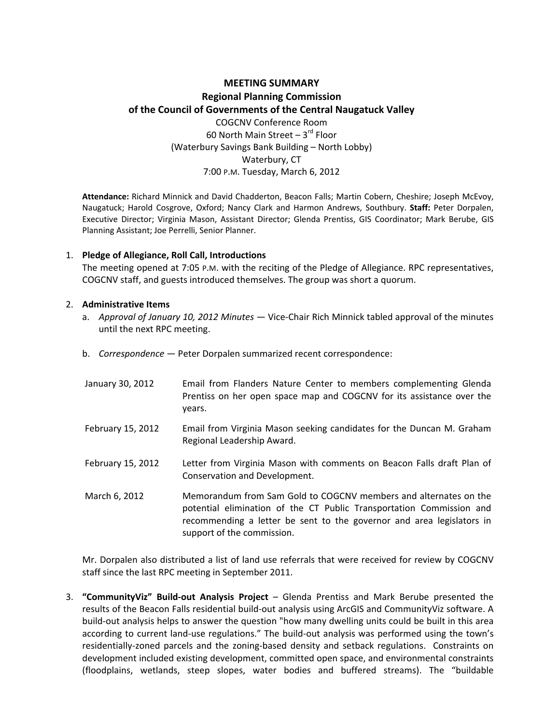# **MEETING SUMMARY Regional Planning Commission of the Council of Governments of the Central Naugatuck Valley** COGCNV Conference Room 60 North Main Street  $-3^{rd}$  Floor (Waterbury Savings Bank Building – North Lobby) Waterbury, CT

### 7:00 P.M. Tuesday, March 6, 2012

**Attendance:** Richard Minnick and David Chadderton, Beacon Falls; Martin Cobern, Cheshire; Joseph McEvoy, Naugatuck; Harold Cosgrove, Oxford; Nancy Clark and Harmon Andrews, Southbury. **Staff:** Peter Dorpalen, Executive Director; Virginia Mason, Assistant Director; Glenda Prentiss, GIS Coordinator; Mark Berube, GIS Planning Assistant; Joe Perrelli, Senior Planner.

#### 1. **Pledge of Allegiance, Roll Call, Introductions**

The meeting opened at 7:05 P.M. with the reciting of the Pledge of Allegiance. RPC representatives, COGCNV staff, and guests introduced themselves. The group was short a quorum.

#### 2. **Administrative Items**

- a. *Approval of January 10, 2012 Minutes* Vice‐Chair Rich Minnick tabled approval of the minutes until the next RPC meeting.
- b. *Correspondence* Peter Dorpalen summarized recent correspondence:

| January 30, 2012  | Email from Flanders Nature Center to members complementing Glenda<br>Prentiss on her open space map and COGCNV for its assistance over the<br>years.                                                                                            |
|-------------------|-------------------------------------------------------------------------------------------------------------------------------------------------------------------------------------------------------------------------------------------------|
| February 15, 2012 | Email from Virginia Mason seeking candidates for the Duncan M. Graham<br>Regional Leadership Award.                                                                                                                                             |
| February 15, 2012 | Letter from Virginia Mason with comments on Beacon Falls draft Plan of<br>Conservation and Development.                                                                                                                                         |
| March 6, 2012     | Memorandum from Sam Gold to COGCNV members and alternates on the<br>potential elimination of the CT Public Transportation Commission and<br>recommending a letter be sent to the governor and area legislators in<br>support of the commission. |

Mr. Dorpalen also distributed a list of land use referrals that were received for review by COGCNV staff since the last RPC meeting in September 2011.

3. **"CommunityViz" Build‐out Analysis Project** – Glenda Prentiss and Mark Berube presented the results of the Beacon Falls residential build‐out analysis using ArcGIS and CommunityViz software. A build‐out analysis helps to answer the question "how many dwelling units could be built in this area according to current land‐use regulations." The build‐out analysis was performed using the town's residentially-zoned parcels and the zoning-based density and setback regulations. Constraints on development included existing development, committed open space, and environmental constraints (floodplains, wetlands, steep slopes, water bodies and buffered streams). The "buildable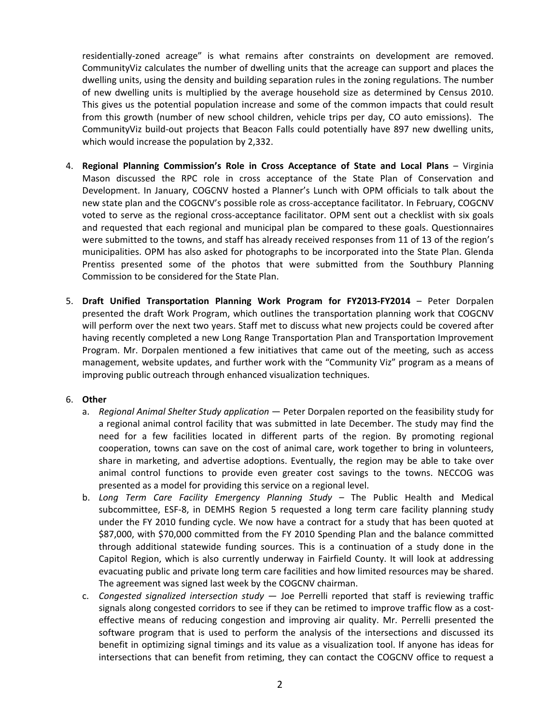residentially‐zoned acreage" is what remains after constraints on development are removed. CommunityViz calculates the number of dwelling units that the acreage can support and places the dwelling units, using the density and building separation rules in the zoning regulations. The number of new dwelling units is multiplied by the average household size as determined by Census 2010. This gives us the potential population increase and some of the common impacts that could result from this growth (number of new school children, vehicle trips per day, CO auto emissions). The CommunityViz build‐out projects that Beacon Falls could potentially have 897 new dwelling units, which would increase the population by 2,332.

- 4. **Regional Planning Commission's Role in Cross Acceptance of State and Local Plans** Virginia Mason discussed the RPC role in cross acceptance of the State Plan of Conservation and Development. In January, COGCNV hosted a Planner's Lunch with OPM officials to talk about the new state plan and the COGCNV's possible role as cross-acceptance facilitator. In February, COGCNV voted to serve as the regional cross-acceptance facilitator. OPM sent out a checklist with six goals and requested that each regional and municipal plan be compared to these goals. Questionnaires were submitted to the towns, and staff has already received responses from 11 of 13 of the region's municipalities. OPM has also asked for photographs to be incorporated into the State Plan. Glenda Prentiss presented some of the photos that were submitted from the Southbury Planning Commission to be considered for the State Plan.
- 5. **Draft Unified Transportation Planning Work Program for FY2013‐FY2014** Peter Dorpalen presented the draft Work Program, which outlines the transportation planning work that COGCNV will perform over the next two years. Staff met to discuss what new projects could be covered after having recently completed a new Long Range Transportation Plan and Transportation Improvement Program. Mr. Dorpalen mentioned a few initiatives that came out of the meeting, such as access management, website updates, and further work with the "Community Viz" program as a means of improving public outreach through enhanced visualization techniques.

#### 6. **Other**

- a. *Regional Animal Shelter Study application* Peter Dorpalen reported on the feasibility study for a regional animal control facility that was submitted in late December. The study may find the need for a few facilities located in different parts of the region. By promoting regional cooperation, towns can save on the cost of animal care, work together to bring in volunteers, share in marketing, and advertise adoptions. Eventually, the region may be able to take over animal control functions to provide even greater cost savings to the towns. NECCOG was presented as a model for providing this service on a regional level.
- b. *Long Term Care Facility Emergency Planning Study –* The Public Health and Medical subcommittee, ESF‐8, in DEMHS Region 5 requested a long term care facility planning study under the FY 2010 funding cycle. We now have a contract for a study that has been quoted at \$87,000, with \$70,000 committed from the FY 2010 Spending Plan and the balance committed through additional statewide funding sources. This is a continuation of a study done in the Capitol Region, which is also currently underway in Fairfield County. It will look at addressing evacuating public and private long term care facilities and how limited resources may be shared. The agreement was signed last week by the COGCNV chairman.
- c. *Congested signalized intersection study* Joe Perrelli reported that staff is reviewing traffic signals along congested corridors to see if they can be retimed to improve traffic flow as a costeffective means of reducing congestion and improving air quality. Mr. Perrelli presented the software program that is used to perform the analysis of the intersections and discussed its benefit in optimizing signal timings and its value as a visualization tool. If anyone has ideas for intersections that can benefit from retiming, they can contact the COGCNV office to request a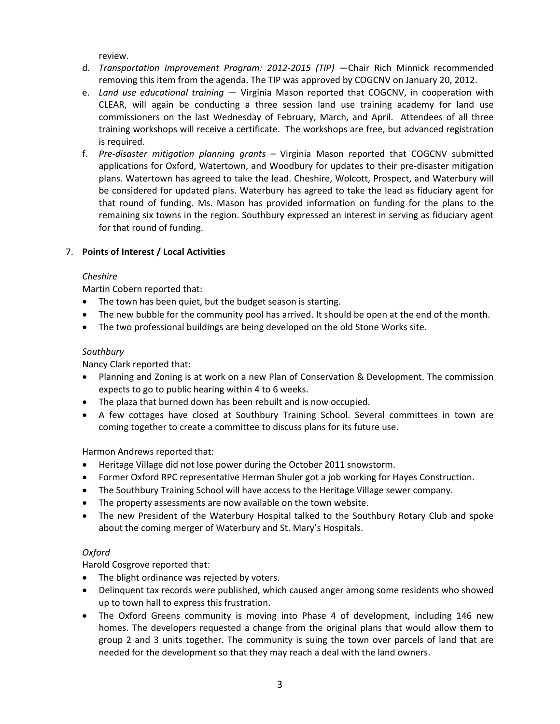review.

- d. *Transportation Improvement Program: 2012‐2015 (TIP)* —Chair Rich Minnick recommended removing this item from the agenda. The TIP was approved by COGCNV on January 20, 2012.
- e. *Land use educational training* Virginia Mason reported that COGCNV, in cooperation with CLEAR, will again be conducting a three session land use training academy for land use commissioners on the last Wednesday of February, March, and April. Attendees of all three training workshops will receive a certificate. The workshops are free, but advanced registration is required.
- f. *Pre‐disaster mitigation planning grants –* Virginia Mason reported that COGCNV submitted applications for Oxford, Watertown, and Woodbury for updates to their pre‐disaster mitigation plans. Watertown has agreed to take the lead. Cheshire, Wolcott, Prospect, and Waterbury will be considered for updated plans. Waterbury has agreed to take the lead as fiduciary agent for that round of funding. Ms. Mason has provided information on funding for the plans to the remaining six towns in the region. Southbury expressed an interest in serving as fiduciary agent for that round of funding.

## 7. **Points of Interest / Local Activities**

### *Cheshire*

Martin Cobern reported that:

- The town has been quiet, but the budget season is starting.
- The new bubble for the community pool has arrived. It should be open at the end of the month.
- The two professional buildings are being developed on the old Stone Works site.

## *Southbury*

Nancy Clark reported that:

- Planning and Zoning is at work on a new Plan of Conservation & Development. The commission expects to go to public hearing within 4 to 6 weeks.
- The plaza that burned down has been rebuilt and is now occupied.
- A few cottages have closed at Southbury Training School. Several committees in town are coming together to create a committee to discuss plans for its future use.

Harmon Andrews reported that:

- Heritage Village did not lose power during the October 2011 snowstorm.
- Former Oxford RPC representative Herman Shuler got a job working for Hayes Construction.
- The Southbury Training School will have access to the Heritage Village sewer company.
- The property assessments are now available on the town website.
- The new President of the Waterbury Hospital talked to the Southbury Rotary Club and spoke about the coming merger of Waterbury and St. Mary's Hospitals.

# *Oxford*

Harold Cosgrove reported that:

- The blight ordinance was rejected by voters.
- Delinquent tax records were published, which caused anger among some residents who showed up to town hall to express this frustration.
- The Oxford Greens community is moving into Phase 4 of development, including 146 new homes. The developers requested a change from the original plans that would allow them to group 2 and 3 units together. The community is suing the town over parcels of land that are needed for the development so that they may reach a deal with the land owners.